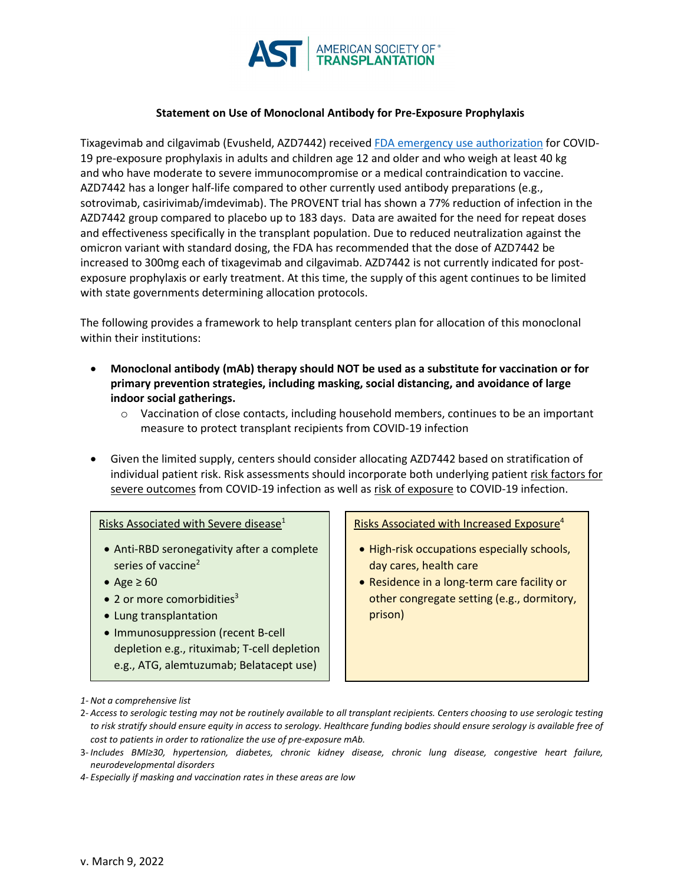

## **Statement on Use of Monoclonal Antibody for Pre-Exposure Prophylaxis**

Tixagevimab and cilgavimab (Evusheld, AZD7442) received [FDA emergency use authorization](https://www.fda.gov/media/154704/download) for COVID-19 pre-exposure prophylaxis in adults and children age 12 and older and who weigh at least 40 kg and who have moderate to severe immunocompromise or a medical contraindication to vaccine. AZD7442 has a longer half-life compared to other currently used antibody preparations (e.g., sotrovimab, casirivimab/imdevimab). The PROVENT trial has shown a 77% reduction of infection in the AZD7442 group compared to placebo up to 183 days. Data are awaited for the need for repeat doses and effectiveness specifically in the transplant population. Due to reduced neutralization against the omicron variant with standard dosing, the FDA has recommended that the dose of AZD7442 be increased to 300mg each of tixagevimab and cilgavimab. AZD7442 is not currently indicated for postexposure prophylaxis or early treatment. At this time, the supply of this agent continues to be limited with state governments determining allocation protocols.

The following provides a framework to help transplant centers plan for allocation of this monoclonal within their institutions:

- **Monoclonal antibody (mAb) therapy should NOT be used as a substitute for vaccination or for primary prevention strategies, including masking, social distancing, and avoidance of large indoor social gatherings.**
	- $\circ$  Vaccination of close contacts, including household members, continues to be an important measure to protect transplant recipients from COVID-19 infection
- Given the limited supply, centers should consider allocating AZD7442 based on stratification of individual patient risk. Risk assessments should incorporate both underlying patient risk factors for severe outcomes from COVID-19 infection as well as risk of exposure to COVID-19 infection.

## Risks Associated with Severe disease<sup>1</sup>

- Anti-RBD seronegativity after a complete series of vaccine<sup>2</sup>
- Age  $\geq 60$
- $\bullet$  2 or more comorbidities<sup>3</sup>
- Lung transplantation
- Immunosuppression (recent B-cell depletion e.g., rituximab; T-cell depletion e.g., ATG, alemtuzumab; Belatacept use)

Risks Associated with Increased Exposure<sup>4</sup>

- High-risk occupations especially schools, day cares, health care
- Residence in a long-term care facility or other congregate setting (e.g., dormitory, prison)

2- *Access to serologic testing may not be routinely available to all transplant recipients. Centers choosing to use serologic testing to risk stratify should ensure equity in access to serology. Healthcare funding bodies should ensure serology is available free of cost to patients in order to rationalize the use of pre-exposure mAb.*

*4- Especially if masking and vaccination rates in these areas are low*

*<sup>1-</sup> Not a comprehensive list*

<sup>3-</sup> *Includes BMI≥30, hypertension, diabetes, chronic kidney disease, chronic lung disease, congestive heart failure, neurodevelopmental disorders*